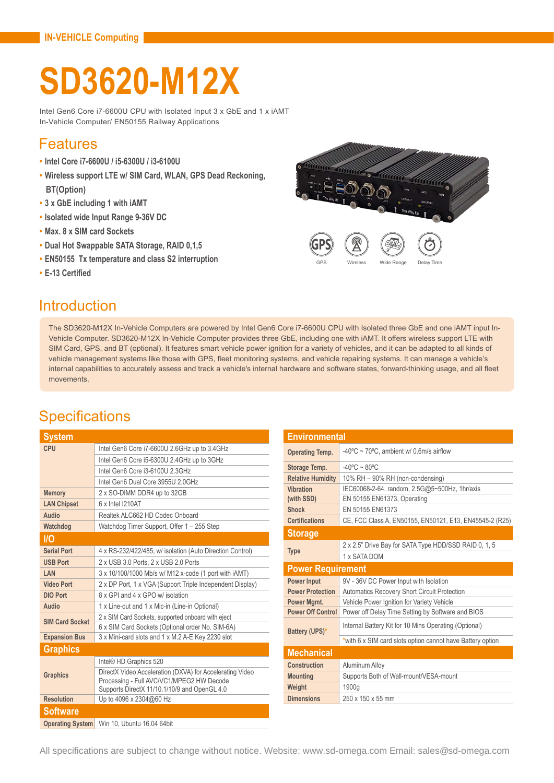# **SD3620-M12X**

Intel Gen6 Core i7-6600U CPU with Isolated Input 3 x GbE and 1 x iAMT In-Vehicle Computer/ EN50155 Railway Applications

#### Features

- **• Intel Core i7-6600U / i5-6300U / i3-6100U**
- **• Wireless support LTE w/ SIM Card, WLAN, GPS Dead Reckoning, BT(Option)**
- **• 3 x GbE including 1 with iAMT**
- **• Isolated wide Input Range 9-36V DC**
- **• Max. 8 x SIM card Sockets**
- **• Dual Hot Swappable SATA Storage, RAID 0,1,5**
- **• EN50155 Tx temperature and class S2 interruption**
- **• E-13 Certified**



#### Introduction

The SD3620-M12X In-Vehicle Computers are powered by Intel Gen6 Core i7-6600U CPU with Isolated three GbE and one iAMT input In-Vehicle Computer. SD3620-M12X In-Vehicle Computer provides three GbE, including one with iAMT. It offers wireless support LTE with SIM Card, GPS, and BT (optional). It features smart vehicle power ignition for a variety of vehicles, and it can be adapted to all kinds of vehicle management systems like those with GPS, fleet monitoring systems, and vehicle repairing systems. It can manage a vehicle's internal capabilities to accurately assess and track a vehicle's internal hardware and software states, forward-thinking usage, and all fleet movements.

## **Specifications**

| <b>System</b>           |                                                                                                                                                       |  |
|-------------------------|-------------------------------------------------------------------------------------------------------------------------------------------------------|--|
| CPU                     | Intel Gen6 Core i7-6600U 2.6GHz up to 3.4GHz                                                                                                          |  |
|                         | Intel Gen6 Core i5-6300U 2.4GHz up to 3GHz                                                                                                            |  |
|                         | Intel Gen6 Core i3-6100U 2 3GHz                                                                                                                       |  |
|                         | Intel Gen6 Dual Core 3955U 2.0GHz                                                                                                                     |  |
| <b>Memory</b>           | 2 x SO-DIMM DDR4 up to 32GB                                                                                                                           |  |
| <b>LAN Chipset</b>      | 6 x Intel I210AT                                                                                                                                      |  |
| Audio                   | Realtek ALC662 HD Codec Onboard                                                                                                                       |  |
| Watchdog                | Watchdog Timer Support, Offer 1 - 255 Step                                                                                                            |  |
| <b>I/O</b>              |                                                                                                                                                       |  |
| <b>Serial Port</b>      | 4 x RS-232/422/485, w/ isolation (Auto Direction Control)                                                                                             |  |
| <b>USB Port</b>         | 2 x USB 3.0 Ports, 2 x USB 2.0 Ports                                                                                                                  |  |
| LAN                     | 3 x 10/100/1000 Mb/s w/ M12 x-code (1 port with iAMT)                                                                                                 |  |
| <b>Video Port</b>       | 2 x DP Port, 1 x VGA (Support Triple Independent Display)                                                                                             |  |
| <b>DIO Port</b>         | 8 x GPI and 4 x GPO w/ isolation                                                                                                                      |  |
| Audio                   | 1 x Line-out and 1 x Mic-in (Line-in Optional)                                                                                                        |  |
| <b>SIM Card Socket</b>  | 2 x SIM Card Sockets, supported onboard with eject                                                                                                    |  |
|                         | 6 x SIM Card Sockets (Optional order No. SIM-6A)                                                                                                      |  |
| <b>Expansion Bus</b>    | 3 x Mini-card slots and 1 x M.2 A-E Key 2230 slot                                                                                                     |  |
| <b>Graphics</b>         |                                                                                                                                                       |  |
|                         | Intel® HD Graphics 520                                                                                                                                |  |
| <b>Graphics</b>         | DirectX Video Acceleration (DXVA) for Accelerating Video<br>Processing - Full AVC/VC1/MPEG2 HW Decode<br>Supports DirectX 11/10.1/10/9 and OpenGL 4.0 |  |
| <b>Resolution</b>       | Up to 4096 x 2304@60 Hz                                                                                                                               |  |
| <b>Software</b>         |                                                                                                                                                       |  |
| <b>Operating System</b> | Win 10, Ubuntu 16.04 64bit                                                                                                                            |  |

| <b>Environmental</b>     |                                                            |  |
|--------------------------|------------------------------------------------------------|--|
| <b>Operating Temp.</b>   | -40°C $\sim$ 70°C, ambient w/ 0.6m/s airflow               |  |
| Storage Temp.            | $-40^{\circ}$ C ~ 80 $^{\circ}$ C                          |  |
| <b>Relative Humidity</b> | 10% RH - 90% RH (non-condensing)                           |  |
| <b>Vibration</b>         | IEC60068-2-64, random, 2.5G@5~500Hz, 1hr/axis              |  |
| (with SSD)               | EN 50155 EN61373, Operating                                |  |
| <b>Shock</b>             | EN 50155 EN61373                                           |  |
| <b>Certifications</b>    | CE, FCC Class A, EN50155, EN50121, E13, EN45545-2 (R25)    |  |
| <b>Storage</b>           |                                                            |  |
|                          | 2 x 2.5" Drive Bay for SATA Type HDD/SSD RAID 0, 1, 5      |  |
| <b>Type</b>              | 1 x SATA DOM                                               |  |
| <b>Power Requirement</b> |                                                            |  |
| <b>Power Input</b>       | 9V - 36V DC Power Input with Isolation                     |  |
| <b>Power Protection</b>  | Automatics Recovery Short Circuit Protection               |  |
| Power Mgmt.              | Vehicle Power Ignition for Variety Vehicle                 |  |
| <b>Power Off Control</b> | Power off Delay Time Setting by Software and BIOS          |  |
| Battery (UPS)*           | Internal Battery Kit for 10 Mins Operating (Optional)      |  |
|                          | *with 6 x SIM card slots option cannot have Battery option |  |
| <b>Mechanical</b>        |                                                            |  |
| Construction             | Aluminum Alloy                                             |  |
| <b>Mounting</b>          | Supports Both of Wall-mount/VESA-mount                     |  |
| Weight                   | 1900g                                                      |  |
| <b>Dimensions</b>        | 250 x 150 x 55 mm                                          |  |

All specifications are subject to change without notice. Website: www.sd-omega.com Email: sales@sd-omega.com